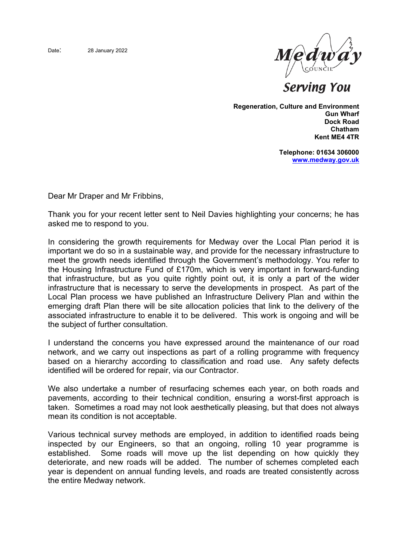

**Serving You** 

**Regeneration, Culture and Environment Gun Wharf Dock Road Chatham Kent ME4 4TR**

> **Telephone: 01634 306000 [www.medway.gov.uk](http://www.medway.gov.uk/)**

Dear Mr Draper and Mr Fribbins,

Thank you for your recent letter sent to Neil Davies highlighting your concerns; he has asked me to respond to you.

In considering the growth requirements for Medway over the Local Plan period it is important we do so in a sustainable way, and provide for the necessary infrastructure to meet the growth needs identified through the Government's methodology. You refer to the Housing Infrastructure Fund of £170m, which is very important in forward-funding that infrastructure, but as you quite rightly point out, it is only a part of the wider infrastructure that is necessary to serve the developments in prospect. As part of the Local Plan process we have published an Infrastructure Delivery Plan and within the emerging draft Plan there will be site allocation policies that link to the delivery of the associated infrastructure to enable it to be delivered. This work is ongoing and will be the subject of further consultation.

I understand the concerns you have expressed around the maintenance of our road network, and we carry out inspections as part of a rolling programme with frequency based on a hierarchy according to classification and road use. Any safety defects identified will be ordered for repair, via our Contractor.

We also undertake a number of resurfacing schemes each year, on both roads and pavements, according to their technical condition, ensuring a worst-first approach is taken. Sometimes a road may not look aesthetically pleasing, but that does not always mean its condition is not acceptable.

Various technical survey methods are employed, in addition to identified roads being inspected by our Engineers, so that an ongoing, rolling 10 year programme is established. Some roads will move up the list depending on how quickly they deteriorate, and new roads will be added. The number of schemes completed each year is dependent on annual funding levels, and roads are treated consistently across the entire Medway network.